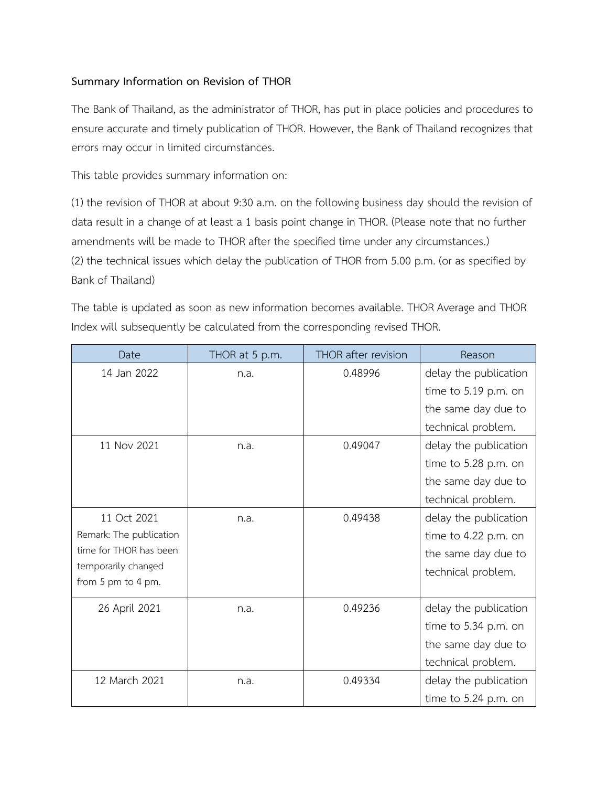## **Summary Information on Revision of THOR**

The Bank of Thailand, as the administrator of THOR, has put in place policies and procedures to ensure accurate and timely publication of THOR. However, the Bank of Thailand recognizes that errors may occur in limited circumstances.

This table provides summary information on:

(1) the revision of THOR at about 9:30 a.m. on the following business day should the revision of data result in a change of at least a 1 basis point change in THOR. (Please note that no further amendments will be made to THOR after the specified time under any circumstances.) (2) the technical issues which delay the publication of THOR from 5.00 p.m. (or as specified by Bank of Thailand)

The table is updated as soon as new information becomes available. THOR Average and THOR Index will subsequently be calculated from the corresponding revised THOR.

| Date                    | THOR at 5 p.m. | THOR after revision | Reason                |
|-------------------------|----------------|---------------------|-----------------------|
| 14 Jan 2022             | n.a.           | 0.48996             | delay the publication |
|                         |                |                     | time to 5.19 p.m. on  |
|                         |                |                     | the same day due to   |
|                         |                |                     | technical problem.    |
| 11 Nov 2021             | n.a.           | 0.49047             | delay the publication |
|                         |                |                     | time to 5.28 p.m. on  |
|                         |                |                     | the same day due to   |
|                         |                |                     | technical problem.    |
| 11 Oct 2021             | n.a.           | 0.49438             | delay the publication |
| Remark: The publication |                |                     | time to 4.22 p.m. on  |
| time for THOR has been  |                |                     | the same day due to   |
| temporarily changed     |                |                     | technical problem.    |
| from 5 pm to 4 pm.      |                |                     |                       |
| 26 April 2021           | n.a.           | 0.49236             | delay the publication |
|                         |                |                     | time to 5.34 p.m. on  |
|                         |                |                     | the same day due to   |
|                         |                |                     | technical problem.    |
| 12 March 2021           | n.a.           | 0.49334             | delay the publication |
|                         |                |                     | time to 5.24 p.m. on  |